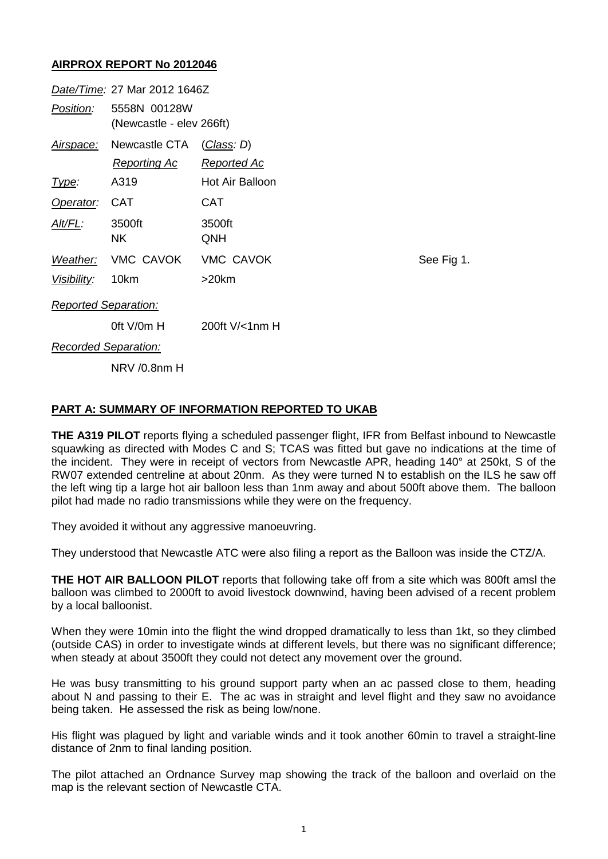## **AIRPROX REPORT No 2012046**

| Date/Time: 27 Mar 2012 1646Z |                                          |                    |
|------------------------------|------------------------------------------|--------------------|
| Position:                    | 5558N 00128W<br>(Newcastle - elev 266ft) |                    |
|                              | Airspace: Newcastle CTA                  | (Class: D)         |
|                              | <u>Reporting Ac</u>                      | <b>Reported Ac</b> |
| lype:                        | A319                                     | Hot Air Balloon    |
| Operator:                    | <b>CAT</b>                               | CAT                |
| Alt/FL:                      | 3500ft<br>NK.                            | 3500ft<br>QNH      |
|                              | Weather: VMC CAVOK                       | VMC CAVOK          |
| Visibility: 10km             |                                          | $>20$ km           |
| <b>Reported Separation:</b>  |                                          |                    |
|                              | 0ft $V/0m$ H                             | 200ft V/<1nm H     |
| Recorded Separation:         |                                          |                    |
|                              | NRV /0.8nm H                             |                    |

See Fig 1.

## **PART A: SUMMARY OF INFORMATION REPORTED TO UKAB**

**THE A319 PILOT** reports flying a scheduled passenger flight, IFR from Belfast inbound to Newcastle squawking as directed with Modes C and S; TCAS was fitted but gave no indications at the time of the incident. They were in receipt of vectors from Newcastle APR, heading 140° at 250kt, S of the RW07 extended centreline at about 20nm. As they were turned N to establish on the ILS he saw off the left wing tip a large hot air balloon less than 1nm away and about 500ft above them. The balloon pilot had made no radio transmissions while they were on the frequency.

They avoided it without any aggressive manoeuvring.

They understood that Newcastle ATC were also filing a report as the Balloon was inside the CTZ/A.

**THE HOT AIR BALLOON PILOT** reports that following take off from a site which was 800ft amsl the balloon was climbed to 2000ft to avoid livestock downwind, having been advised of a recent problem by a local balloonist.

When they were 10min into the flight the wind dropped dramatically to less than 1kt, so they climbed (outside CAS) in order to investigate winds at different levels, but there was no significant difference; when steady at about 3500ft they could not detect any movement over the ground.

He was busy transmitting to his ground support party when an ac passed close to them, heading about N and passing to their E. The ac was in straight and level flight and they saw no avoidance being taken. He assessed the risk as being low/none.

His flight was plagued by light and variable winds and it took another 60min to travel a straight-line distance of 2nm to final landing position.

The pilot attached an Ordnance Survey map showing the track of the balloon and overlaid on the map is the relevant section of Newcastle CTA.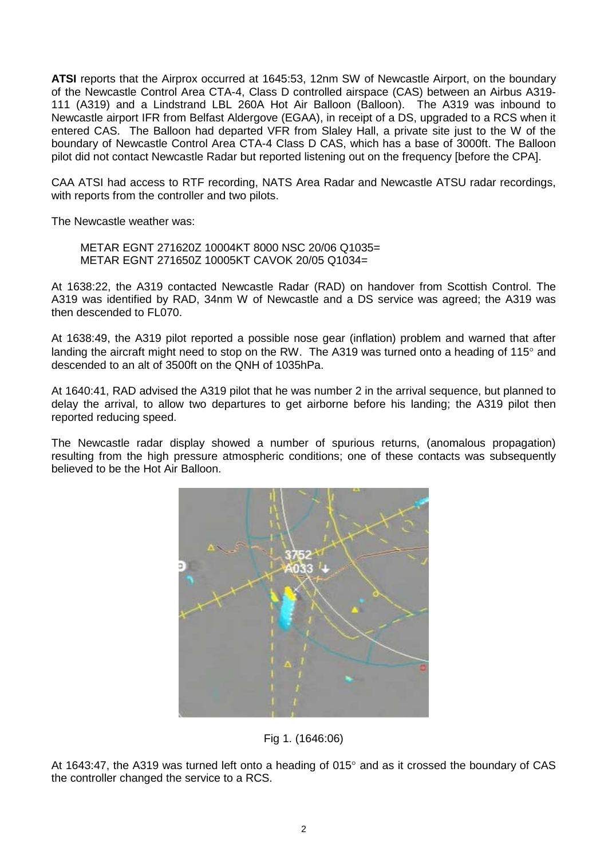**ATSI** reports that the Airprox occurred at 1645:53, 12nm SW of Newcastle Airport, on the boundary of the Newcastle Control Area CTA-4, Class D controlled airspace (CAS) between an Airbus A319- 111 (A319) and a Lindstrand LBL 260A Hot Air Balloon (Balloon). The A319 was inbound to Newcastle airport IFR from Belfast Aldergove (EGAA), in receipt of a DS, upgraded to a RCS when it entered CAS. The Balloon had departed VFR from Slaley Hall, a private site just to the W of the boundary of Newcastle Control Area CTA-4 Class D CAS, which has a base of 3000ft. The Balloon pilot did not contact Newcastle Radar but reported listening out on the frequency [before the CPA].

CAA ATSI had access to RTF recording, NATS Area Radar and Newcastle ATSU radar recordings, with reports from the controller and two pilots.

The Newcastle weather was:

METAR EGNT 271620Z 10004KT 8000 NSC 20/06 Q1035= METAR EGNT 271650Z 10005KT CAVOK 20/05 Q1034=

At 1638:22, the A319 contacted Newcastle Radar (RAD) on handover from Scottish Control. The A319 was identified by RAD, 34nm W of Newcastle and a DS service was agreed; the A319 was then descended to FL070.

At 1638:49, the A319 pilot reported a possible nose gear (inflation) problem and warned that after landing the aircraft might need to stop on the RW. The A319 was turned onto a heading of 115° and descended to an alt of 3500ft on the QNH of 1035hPa.

At 1640:41, RAD advised the A319 pilot that he was number 2 in the arrival sequence, but planned to delay the arrival, to allow two departures to get airborne before his landing; the A319 pilot then reported reducing speed.

The Newcastle radar display showed a number of spurious returns, (anomalous propagation) resulting from the high pressure atmospheric conditions; one of these contacts was subsequently believed to be the Hot Air Balloon.



Fig 1. (1646:06)

At 1643:47, the A319 was turned left onto a heading of 015° and as it crossed the boundary of CAS the controller changed the service to a RCS.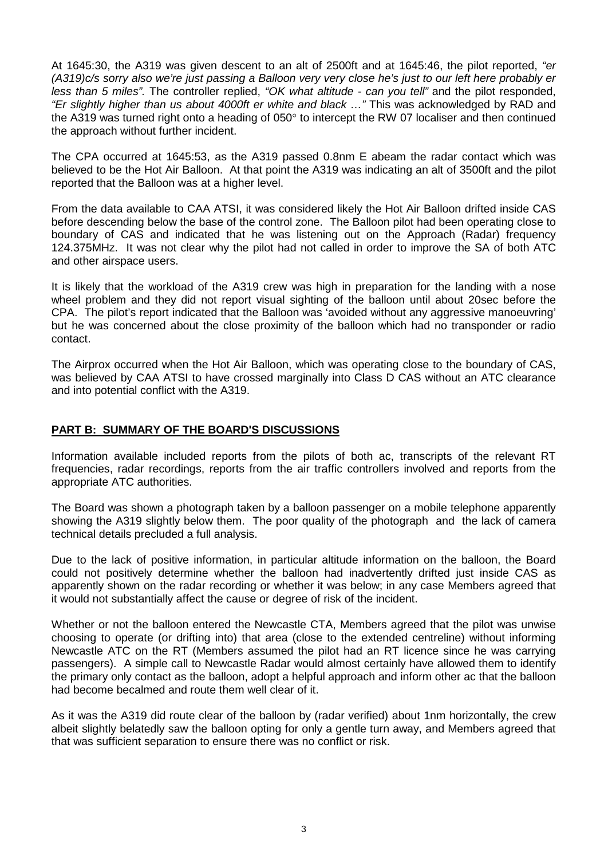At 1645:30, the A319 was given descent to an alt of 2500ft and at 1645:46, the pilot reported, *"er (A319)c/s sorry also we're just passing a Balloon very very close he's just to our left here probably er less than 5 miles".* The controller replied, *"OK what altitude - can you tell"* and the pilot responded, *"Er slightly higher than us about 4000ft er white and black …"* This was acknowledged by RAD and the A319 was turned right onto a heading of 050° to intercept the RW 07 localiser and then continued the approach without further incident.

The CPA occurred at 1645:53, as the A319 passed 0.8nm E abeam the radar contact which was believed to be the Hot Air Balloon. At that point the A319 was indicating an alt of 3500ft and the pilot reported that the Balloon was at a higher level.

From the data available to CAA ATSI, it was considered likely the Hot Air Balloon drifted inside CAS before descending below the base of the control zone. The Balloon pilot had been operating close to boundary of CAS and indicated that he was listening out on the Approach (Radar) frequency 124.375MHz. It was not clear why the pilot had not called in order to improve the SA of both ATC and other airspace users.

It is likely that the workload of the A319 crew was high in preparation for the landing with a nose wheel problem and they did not report visual sighting of the balloon until about 20sec before the CPA. The pilot's report indicated that the Balloon was 'avoided without any aggressive manoeuvring' but he was concerned about the close proximity of the balloon which had no transponder or radio contact.

The Airprox occurred when the Hot Air Balloon, which was operating close to the boundary of CAS, was believed by CAA ATSI to have crossed marginally into Class D CAS without an ATC clearance and into potential conflict with the A319.

## **PART B: SUMMARY OF THE BOARD'S DISCUSSIONS**

Information available included reports from the pilots of both ac, transcripts of the relevant RT frequencies, radar recordings, reports from the air traffic controllers involved and reports from the appropriate ATC authorities.

The Board was shown a photograph taken by a balloon passenger on a mobile telephone apparently showing the A319 slightly below them. The poor quality of the photograph and the lack of camera technical details precluded a full analysis.

Due to the lack of positive information, in particular altitude information on the balloon, the Board could not positively determine whether the balloon had inadvertently drifted just inside CAS as apparently shown on the radar recording or whether it was below; in any case Members agreed that it would not substantially affect the cause or degree of risk of the incident.

Whether or not the balloon entered the Newcastle CTA, Members agreed that the pilot was unwise choosing to operate (or drifting into) that area (close to the extended centreline) without informing Newcastle ATC on the RT (Members assumed the pilot had an RT licence since he was carrying passengers). A simple call to Newcastle Radar would almost certainly have allowed them to identify the primary only contact as the balloon, adopt a helpful approach and inform other ac that the balloon had become becalmed and route them well clear of it.

As it was the A319 did route clear of the balloon by (radar verified) about 1nm horizontally, the crew albeit slightly belatedly saw the balloon opting for only a gentle turn away, and Members agreed that that was sufficient separation to ensure there was no conflict or risk.